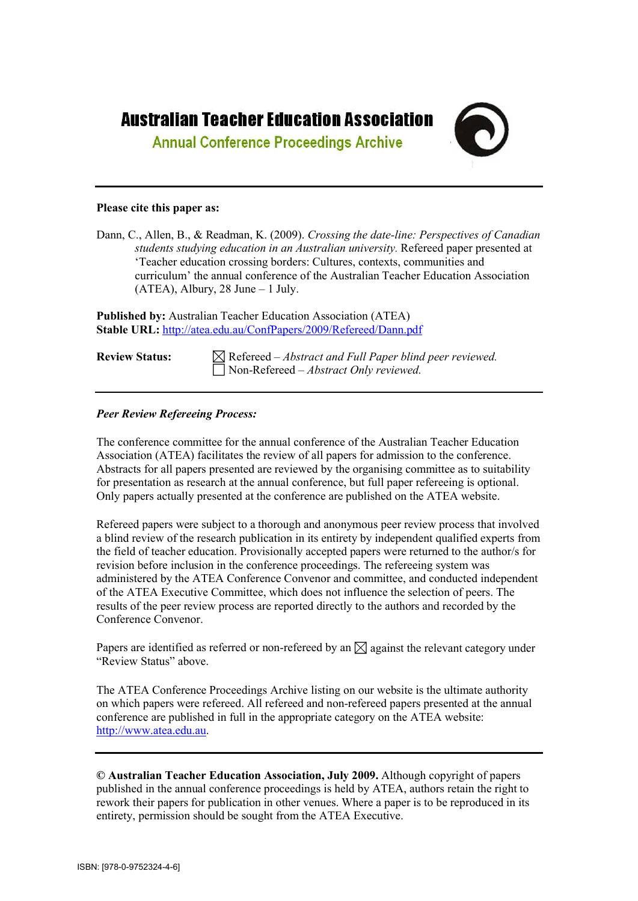

#### **Please cite this paper as:**

Dann, C., Allen, B., & Readman, K. (2009). *Crossing the date-line: Perspectives of Canadian students studying education in an Australian university.* Refereed paper presented at 'Teacher education crossing borders: Cultures, contexts, communities and curriculum' the annual conference of the Australian Teacher Education Association (ATEA), Albury, 28 June – 1 July.

**Published by:** Australian Teacher Education Association (ATEA) **Stable URL:** http://atea.edu.au/ConfPapers/2009/Refereed/Dann.pdf

**Review Status:**  $\boxtimes$  Refereed – *Abstract and Full Paper blind peer reviewed.* Non-Refereed – *Abstract Only reviewed.*

#### *Peer Review Refereeing Process:*

The conference committee for the annual conference of the Australian Teacher Education Association (ATEA) facilitates the review of all papers for admission to the conference. Abstracts for all papers presented are reviewed by the organising committee as to suitability for presentation as research at the annual conference, but full paper refereeing is optional. Only papers actually presented at the conference are published on the ATEA website.

Refereed papers were subject to a thorough and anonymous peer review process that involved a blind review of the research publication in its entirety by independent qualified experts from the field of teacher education. Provisionally accepted papers were returned to the author/s for revision before inclusion in the conference proceedings. The refereeing system was administered by the ATEA Conference Convenor and committee, and conducted independent of the ATEA Executive Committee, which does not influence the selection of peers. The results of the peer review process are reported directly to the authors and recorded by the Conference Convenor.

Papers are identified as referred or non-refereed by an  $\boxtimes$  against the relevant category under "Review Status" above.

The ATEA Conference Proceedings Archive listing on our website is the ultimate authority on which papers were refereed. All refereed and non-refereed papers presented at the annual conference are published in full in the appropriate category on the ATEA website: http://www.atea.edu.au.

**© Australian Teacher Education Association, July 2009.** Although copyright of papers published in the annual conference proceedings is held by ATEA, authors retain the right to rework their papers for publication in other venues. Where a paper is to be reproduced in its entirety, permission should be sought from the ATEA Executive.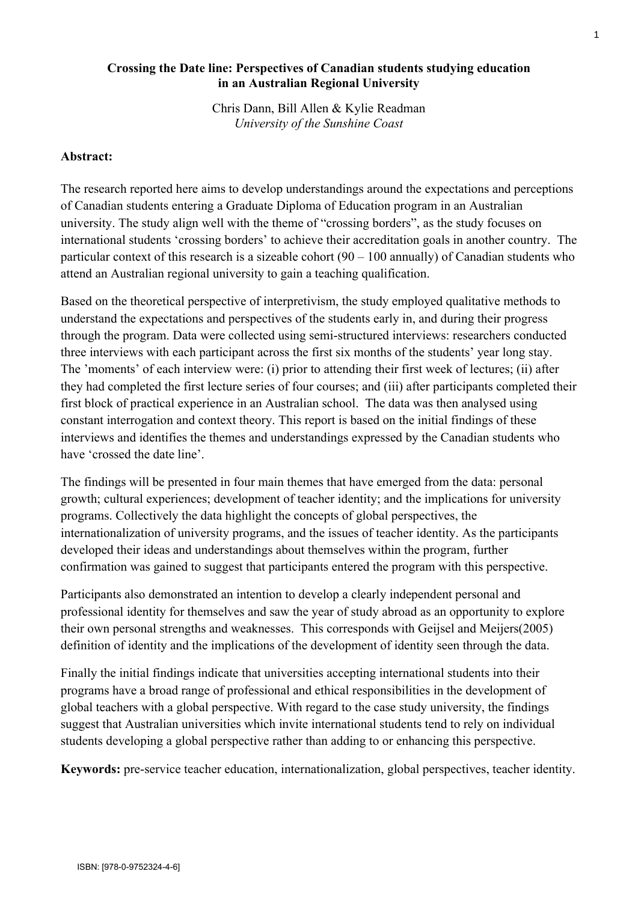# **Crossing the Date line: Perspectives of Canadian students studying education in an Australian Regional University**

Chris Dann, Bill Allen & Kylie Readman *University of the Sunshine Coast*

## **Abstract:**

The research reported here aims to develop understandings around the expectations and perceptions of Canadian students entering a Graduate Diploma of Education program in an Australian university. The study align well with the theme of "crossing borders", as the study focuses on international students 'crossing borders' to achieve their accreditation goals in another country. The particular context of this research is a sizeable cohort (90 – 100 annually) of Canadian students who attend an Australian regional university to gain a teaching qualification.

Based on the theoretical perspective of interpretivism, the study employed qualitative methods to understand the expectations and perspectives of the students early in, and during their progress through the program. Data were collected using semi-structured interviews: researchers conducted three interviews with each participant across the first six months of the students' year long stay. The 'moments' of each interview were: (i) prior to attending their first week of lectures; (ii) after they had completed the first lecture series of four courses; and (iii) after participants completed their first block of practical experience in an Australian school. The data was then analysed using constant interrogation and context theory. This report is based on the initial findings of these interviews and identifies the themes and understandings expressed by the Canadian students who have 'crossed the date line'.

The findings will be presented in four main themes that have emerged from the data: personal growth; cultural experiences; development of teacher identity; and the implications for university programs. Collectively the data highlight the concepts of global perspectives, the internationalization of university programs, and the issues of teacher identity. As the participants developed their ideas and understandings about themselves within the program, further confirmation was gained to suggest that participants entered the program with this perspective.

Participants also demonstrated an intention to develop a clearly independent personal and professional identity for themselves and saw the year of study abroad as an opportunity to explore their own personal strengths and weaknesses. This corresponds with Geijsel and Meijers(2005) definition of identity and the implications of the development of identity seen through the data.

Finally the initial findings indicate that universities accepting international students into their programs have a broad range of professional and ethical responsibilities in the development of global teachers with a global perspective. With regard to the case study university, the findings suggest that Australian universities which invite international students tend to rely on individual students developing a global perspective rather than adding to or enhancing this perspective.

**Keywords:** pre-service teacher education, internationalization, global perspectives, teacher identity.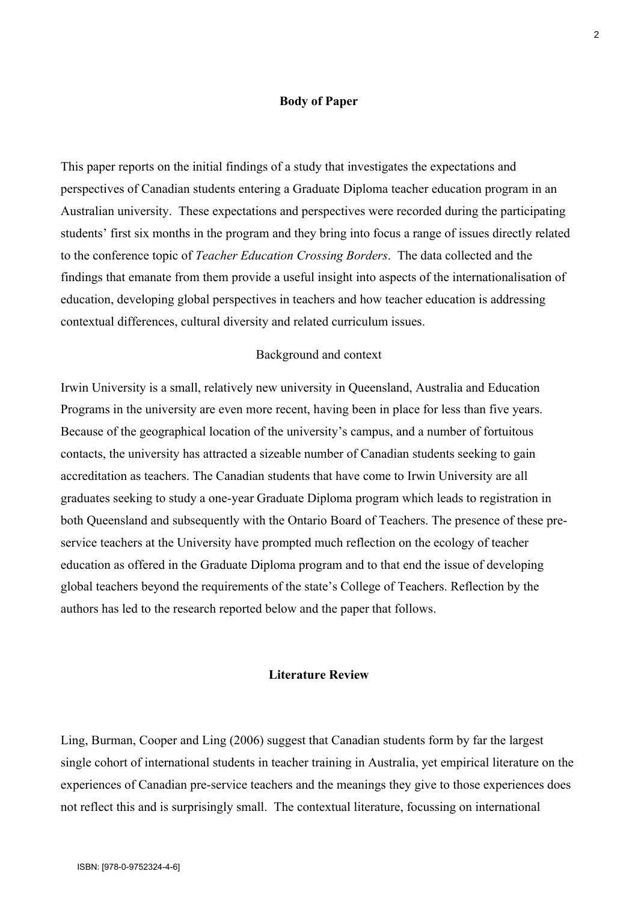#### **Body of Paper**

This paper reports on the initial findings of a study that investigates the expectations and perspectives of Canadian students entering a Graduate Diploma teacher education program in an Australian university. These expectations and perspectives were recorded during the participating students' first six months in the program and they bring into focus a range of issues directly related to the conference topic of *Teacher Education Crossing Borders*. The data collected and the findings that emanate from them provide a useful insight into aspects of the internationalisation of education, developing global perspectives in teachers and how teacher education is addressing contextual differences, cultural diversity and related curriculum issues.

### Background and context

Irwin University is a small, relatively new university in Queensland, Australia and Education Programs in the university are even more recent, having been in place for less than five years. Because of the geographical location of the university's campus, and a number of fortuitous contacts, the university has attracted a sizeable number of Canadian students seeking to gain accreditation as teachers. The Canadian students that have come to Irwin University are all graduates seeking to study a one-year Graduate Diploma program which leads to registration in both Queensland and subsequently with the Ontario Board of Teachers. The presence of these preservice teachers at the University have prompted much reflection on the ecology of teacher education as offered in the Graduate Diploma program and to that end the issue of developing global teachers beyond the requirements of the state's College of Teachers. Reflection by the authors has led to the research reported below and the paper that follows.

# **Literature Review**

Ling, Burman, Cooper and Ling (2006) suggest that Canadian students form by far the largest single cohort of international students in teacher training in Australia, yet empirical literature on the experiences of Canadian pre-service teachers and the meanings they give to those experiences does not reflect this and is surprisingly small. The contextual literature, focussing on international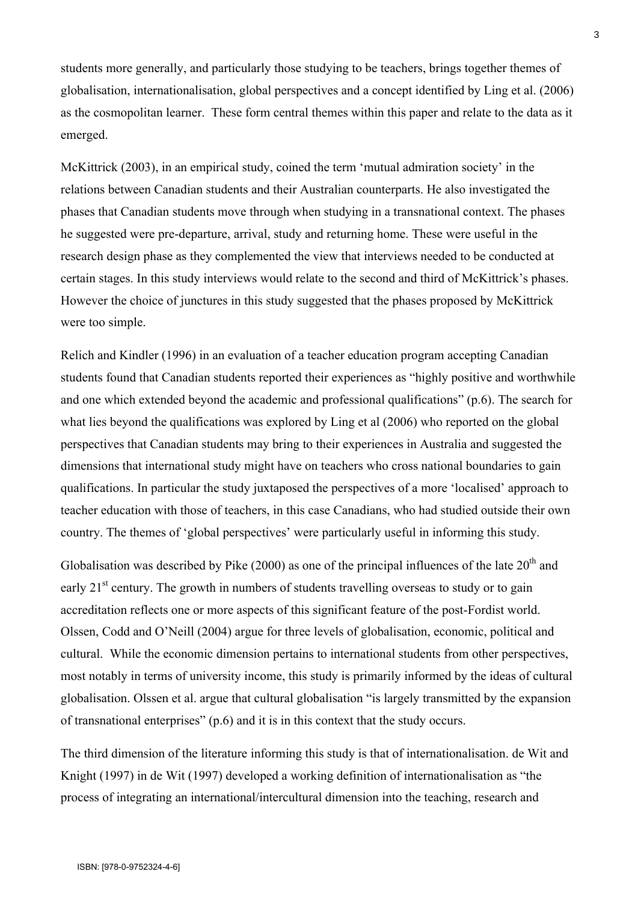students more generally, and particularly those studying to be teachers, brings together themes of globalisation, internationalisation, global perspectives and a concept identified by Ling et al. (2006) as the cosmopolitan learner. These form central themes within this paper and relate to the data as it emerged.

McKittrick (2003), in an empirical study, coined the term 'mutual admiration society' in the relations between Canadian students and their Australian counterparts. He also investigated the phases that Canadian students move through when studying in a transnational context. The phases he suggested were pre-departure, arrival, study and returning home. These were useful in the research design phase as they complemented the view that interviews needed to be conducted at certain stages. In this study interviews would relate to the second and third of McKittrick's phases. However the choice of junctures in this study suggested that the phases proposed by McKittrick were too simple.

Relich and Kindler (1996) in an evaluation of a teacher education program accepting Canadian students found that Canadian students reported their experiences as "highly positive and worthwhile and one which extended beyond the academic and professional qualifications" (p.6). The search for what lies beyond the qualifications was explored by Ling et al (2006) who reported on the global perspectives that Canadian students may bring to their experiences in Australia and suggested the dimensions that international study might have on teachers who cross national boundaries to gain qualifications. In particular the study juxtaposed the perspectives of a more 'localised' approach to teacher education with those of teachers, in this case Canadians, who had studied outside their own country. The themes of 'global perspectives' were particularly useful in informing this study.

Globalisation was described by Pike (2000) as one of the principal influences of the late  $20<sup>th</sup>$  and early  $21<sup>st</sup>$  century. The growth in numbers of students travelling overseas to study or to gain accreditation reflects one or more aspects of this significant feature of the post-Fordist world. Olssen, Codd and O'Neill (2004) argue for three levels of globalisation, economic, political and cultural. While the economic dimension pertains to international students from other perspectives, most notably in terms of university income, this study is primarily informed by the ideas of cultural globalisation. Olssen et al. argue that cultural globalisation "is largely transmitted by the expansion of transnational enterprises" (p.6) and it is in this context that the study occurs.

The third dimension of the literature informing this study is that of internationalisation. de Wit and Knight (1997) in de Wit (1997) developed a working definition of internationalisation as "the process of integrating an international/intercultural dimension into the teaching, research and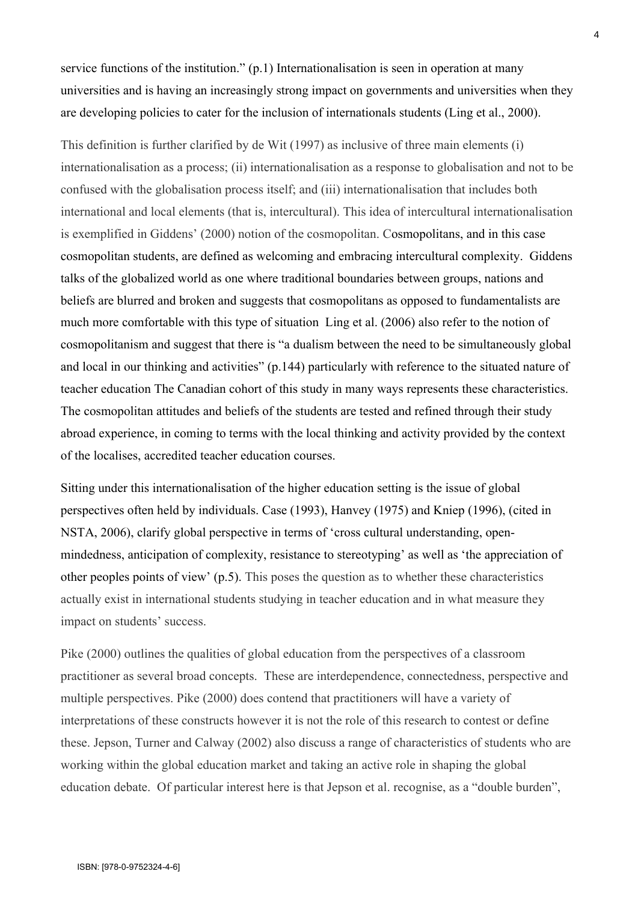service functions of the institution." (p.1) Internationalisation is seen in operation at many universities and is having an increasingly strong impact on governments and universities when they are developing policies to cater for the inclusion of internationals students (Ling et al., 2000).

This definition is further clarified by de Wit (1997) as inclusive of three main elements (i) internationalisation as a process; (ii) internationalisation as a response to globalisation and not to be confused with the globalisation process itself; and (iii) internationalisation that includes both international and local elements (that is, intercultural). This idea of intercultural internationalisation is exemplified in Giddens' (2000) notion of the cosmopolitan. Cosmopolitans, and in this case cosmopolitan students, are defined as welcoming and embracing intercultural complexity. Giddens talks of the globalized world as one where traditional boundaries between groups, nations and beliefs are blurred and broken and suggests that cosmopolitans as opposed to fundamentalists are much more comfortable with this type of situation Ling et al. (2006) also refer to the notion of cosmopolitanism and suggest that there is "a dualism between the need to be simultaneously global and local in our thinking and activities" (p.144) particularly with reference to the situated nature of teacher education The Canadian cohort of this study in many ways represents these characteristics. The cosmopolitan attitudes and beliefs of the students are tested and refined through their study abroad experience, in coming to terms with the local thinking and activity provided by the context of the localises, accredited teacher education courses.

Sitting under this internationalisation of the higher education setting is the issue of global perspectives often held by individuals. Case (1993), Hanvey (1975) and Kniep (1996), (cited in NSTA, 2006), clarify global perspective in terms of 'cross cultural understanding, openmindedness, anticipation of complexity, resistance to stereotyping' as well as 'the appreciation of other peoples points of view' (p.5). This poses the question as to whether these characteristics actually exist in international students studying in teacher education and in what measure they impact on students' success.

Pike (2000) outlines the qualities of global education from the perspectives of a classroom practitioner as several broad concepts. These are interdependence, connectedness, perspective and multiple perspectives. Pike (2000) does contend that practitioners will have a variety of interpretations of these constructs however it is not the role of this research to contest or define these. Jepson, Turner and Calway (2002) also discuss a range of characteristics of students who are working within the global education market and taking an active role in shaping the global education debate. Of particular interest here is that Jepson et al. recognise, as a "double burden",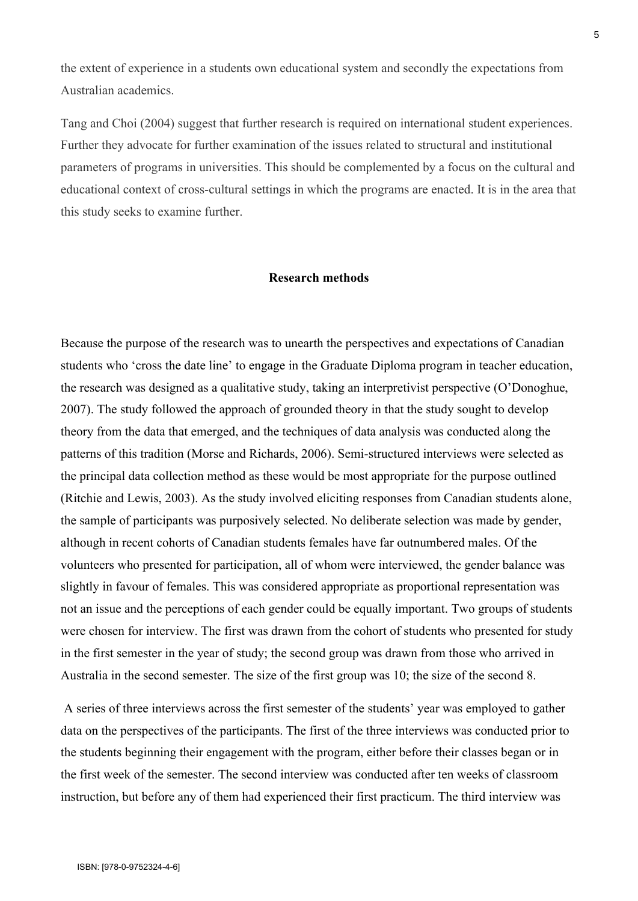the extent of experience in a students own educational system and secondly the expectations from Australian academics.

Tang and Choi (2004) suggest that further research is required on international student experiences. Further they advocate for further examination of the issues related to structural and institutional parameters of programs in universities. This should be complemented by a focus on the cultural and educational context of cross-cultural settings in which the programs are enacted. It is in the area that this study seeks to examine further.

### **Research methods**

Because the purpose of the research was to unearth the perspectives and expectations of Canadian students who 'cross the date line' to engage in the Graduate Diploma program in teacher education, the research was designed as a qualitative study, taking an interpretivist perspective (O'Donoghue, 2007). The study followed the approach of grounded theory in that the study sought to develop theory from the data that emerged, and the techniques of data analysis was conducted along the patterns of this tradition (Morse and Richards, 2006). Semi-structured interviews were selected as the principal data collection method as these would be most appropriate for the purpose outlined (Ritchie and Lewis, 2003). As the study involved eliciting responses from Canadian students alone, the sample of participants was purposively selected. No deliberate selection was made by gender, although in recent cohorts of Canadian students females have far outnumbered males. Of the volunteers who presented for participation, all of whom were interviewed, the gender balance was slightly in favour of females. This was considered appropriate as proportional representation was not an issue and the perceptions of each gender could be equally important. Two groups of students were chosen for interview. The first was drawn from the cohort of students who presented for study in the first semester in the year of study; the second group was drawn from those who arrived in Australia in the second semester. The size of the first group was 10; the size of the second 8.

A series of three interviews across the first semester of the students' year was employed to gather data on the perspectives of the participants. The first of the three interviews was conducted prior to the students beginning their engagement with the program, either before their classes began or in the first week of the semester. The second interview was conducted after ten weeks of classroom instruction, but before any of them had experienced their first practicum. The third interview was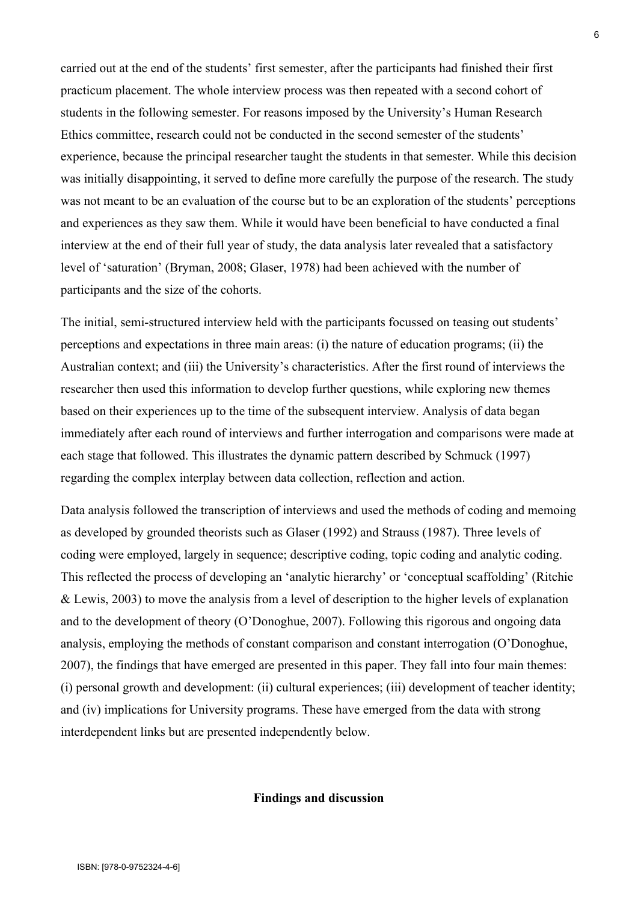carried out at the end of the students' first semester, after the participants had finished their first practicum placement. The whole interview process was then repeated with a second cohort of students in the following semester. For reasons imposed by the University's Human Research Ethics committee, research could not be conducted in the second semester of the students' experience, because the principal researcher taught the students in that semester. While this decision was initially disappointing, it served to define more carefully the purpose of the research. The study was not meant to be an evaluation of the course but to be an exploration of the students' perceptions and experiences as they saw them. While it would have been beneficial to have conducted a final interview at the end of their full year of study, the data analysis later revealed that a satisfactory level of 'saturation' (Bryman, 2008; Glaser, 1978) had been achieved with the number of participants and the size of the cohorts.

The initial, semi-structured interview held with the participants focussed on teasing out students' perceptions and expectations in three main areas: (i) the nature of education programs; (ii) the Australian context; and (iii) the University's characteristics. After the first round of interviews the researcher then used this information to develop further questions, while exploring new themes based on their experiences up to the time of the subsequent interview. Analysis of data began immediately after each round of interviews and further interrogation and comparisons were made at each stage that followed. This illustrates the dynamic pattern described by Schmuck (1997) regarding the complex interplay between data collection, reflection and action.

Data analysis followed the transcription of interviews and used the methods of coding and memoing as developed by grounded theorists such as Glaser (1992) and Strauss (1987). Three levels of coding were employed, largely in sequence; descriptive coding, topic coding and analytic coding. This reflected the process of developing an 'analytic hierarchy' or 'conceptual scaffolding' (Ritchie & Lewis, 2003) to move the analysis from a level of description to the higher levels of explanation and to the development of theory (O'Donoghue, 2007). Following this rigorous and ongoing data analysis, employing the methods of constant comparison and constant interrogation (O'Donoghue, 2007), the findings that have emerged are presented in this paper. They fall into four main themes: (i) personal growth and development: (ii) cultural experiences; (iii) development of teacher identity; and (iv) implications for University programs. These have emerged from the data with strong interdependent links but are presented independently below.

## **Findings and discussion**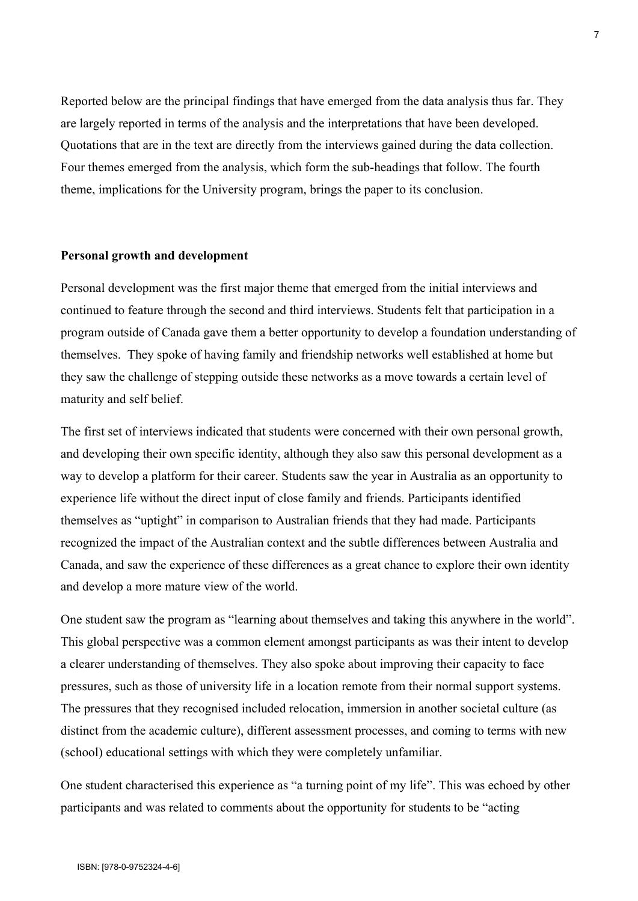Reported below are the principal findings that have emerged from the data analysis thus far. They are largely reported in terms of the analysis and the interpretations that have been developed. Quotations that are in the text are directly from the interviews gained during the data collection. Four themes emerged from the analysis, which form the sub-headings that follow. The fourth theme, implications for the University program, brings the paper to its conclusion.

#### **Personal growth and development**

Personal development was the first major theme that emerged from the initial interviews and continued to feature through the second and third interviews. Students felt that participation in a program outside of Canada gave them a better opportunity to develop a foundation understanding of themselves. They spoke of having family and friendship networks well established at home but they saw the challenge of stepping outside these networks as a move towards a certain level of maturity and self belief.

The first set of interviews indicated that students were concerned with their own personal growth, and developing their own specific identity, although they also saw this personal development as a way to develop a platform for their career. Students saw the year in Australia as an opportunity to experience life without the direct input of close family and friends. Participants identified themselves as "uptight" in comparison to Australian friends that they had made. Participants recognized the impact of the Australian context and the subtle differences between Australia and Canada, and saw the experience of these differences as a great chance to explore their own identity and develop a more mature view of the world.

One student saw the program as "learning about themselves and taking this anywhere in the world". This global perspective was a common element amongst participants as was their intent to develop a clearer understanding of themselves. They also spoke about improving their capacity to face pressures, such as those of university life in a location remote from their normal support systems. The pressures that they recognised included relocation, immersion in another societal culture (as distinct from the academic culture), different assessment processes, and coming to terms with new (school) educational settings with which they were completely unfamiliar.

One student characterised this experience as "a turning point of my life". This was echoed by other participants and was related to comments about the opportunity for students to be "acting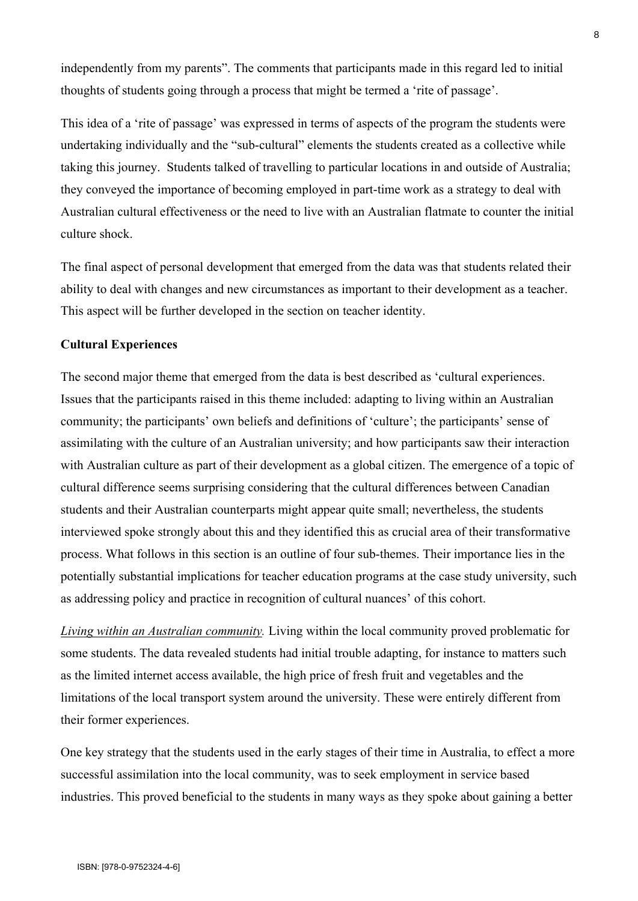independently from my parents". The comments that participants made in this regard led to initial thoughts of students going through a process that might be termed a 'rite of passage'.

This idea of a 'rite of passage' was expressed in terms of aspects of the program the students were undertaking individually and the "sub-cultural" elements the students created as a collective while taking this journey. Students talked of travelling to particular locations in and outside of Australia; they conveyed the importance of becoming employed in part-time work as a strategy to deal with Australian cultural effectiveness or the need to live with an Australian flatmate to counter the initial culture shock.

The final aspect of personal development that emerged from the data was that students related their ability to deal with changes and new circumstances as important to their development as a teacher. This aspect will be further developed in the section on teacher identity.

# **Cultural Experiences**

The second major theme that emerged from the data is best described as 'cultural experiences. Issues that the participants raised in this theme included: adapting to living within an Australian community; the participants' own beliefs and definitions of 'culture'; the participants' sense of assimilating with the culture of an Australian university; and how participants saw their interaction with Australian culture as part of their development as a global citizen. The emergence of a topic of cultural difference seems surprising considering that the cultural differences between Canadian students and their Australian counterparts might appear quite small; nevertheless, the students interviewed spoke strongly about this and they identified this as crucial area of their transformative process. What follows in this section is an outline of four sub-themes. Their importance lies in the potentially substantial implications for teacher education programs at the case study university, such as addressing policy and practice in recognition of cultural nuances' of this cohort.

*Living within an Australian community.* Living within the local community proved problematic for some students. The data revealed students had initial trouble adapting, for instance to matters such as the limited internet access available, the high price of fresh fruit and vegetables and the limitations of the local transport system around the university. These were entirely different from their former experiences.

One key strategy that the students used in the early stages of their time in Australia, to effect a more successful assimilation into the local community, was to seek employment in service based industries. This proved beneficial to the students in many ways as they spoke about gaining a better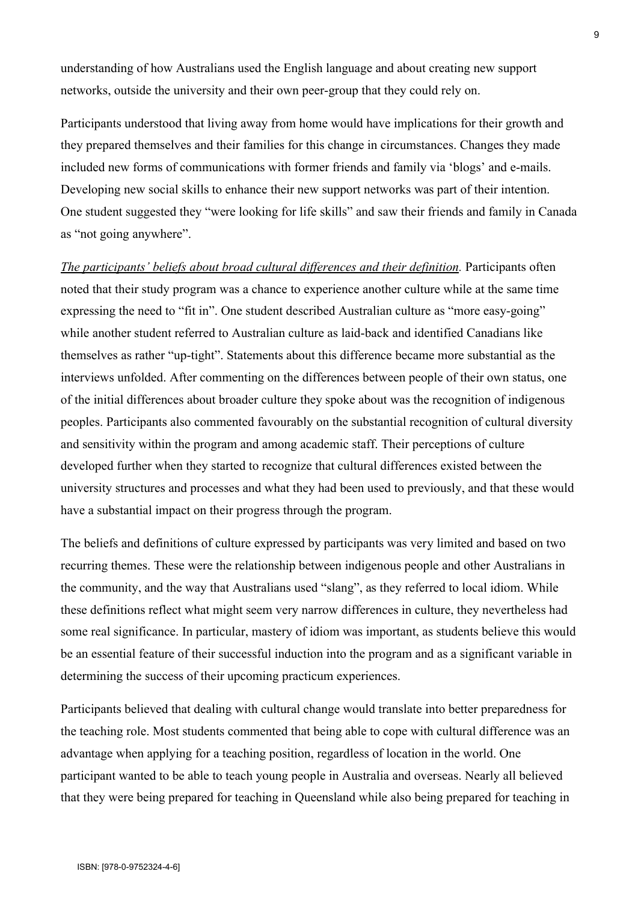understanding of how Australians used the English language and about creating new support networks, outside the university and their own peer-group that they could rely on.

Participants understood that living away from home would have implications for their growth and they prepared themselves and their families for this change in circumstances. Changes they made included new forms of communications with former friends and family via 'blogs' and e-mails. Developing new social skills to enhance their new support networks was part of their intention. One student suggested they "were looking for life skills" and saw their friends and family in Canada as "not going anywhere".

*The participants' beliefs about broad cultural differences and their definition. Participants often* noted that their study program was a chance to experience another culture while at the same time expressing the need to "fit in". One student described Australian culture as "more easy-going" while another student referred to Australian culture as laid-back and identified Canadians like themselves as rather "up-tight". Statements about this difference became more substantial as the interviews unfolded. After commenting on the differences between people of their own status, one of the initial differences about broader culture they spoke about was the recognition of indigenous peoples. Participants also commented favourably on the substantial recognition of cultural diversity and sensitivity within the program and among academic staff. Their perceptions of culture developed further when they started to recognize that cultural differences existed between the university structures and processes and what they had been used to previously, and that these would have a substantial impact on their progress through the program.

The beliefs and definitions of culture expressed by participants was very limited and based on two recurring themes. These were the relationship between indigenous people and other Australians in the community, and the way that Australians used "slang", as they referred to local idiom. While these definitions reflect what might seem very narrow differences in culture, they nevertheless had some real significance. In particular, mastery of idiom was important, as students believe this would be an essential feature of their successful induction into the program and as a significant variable in determining the success of their upcoming practicum experiences.

Participants believed that dealing with cultural change would translate into better preparedness for the teaching role. Most students commented that being able to cope with cultural difference was an advantage when applying for a teaching position, regardless of location in the world. One participant wanted to be able to teach young people in Australia and overseas. Nearly all believed that they were being prepared for teaching in Queensland while also being prepared for teaching in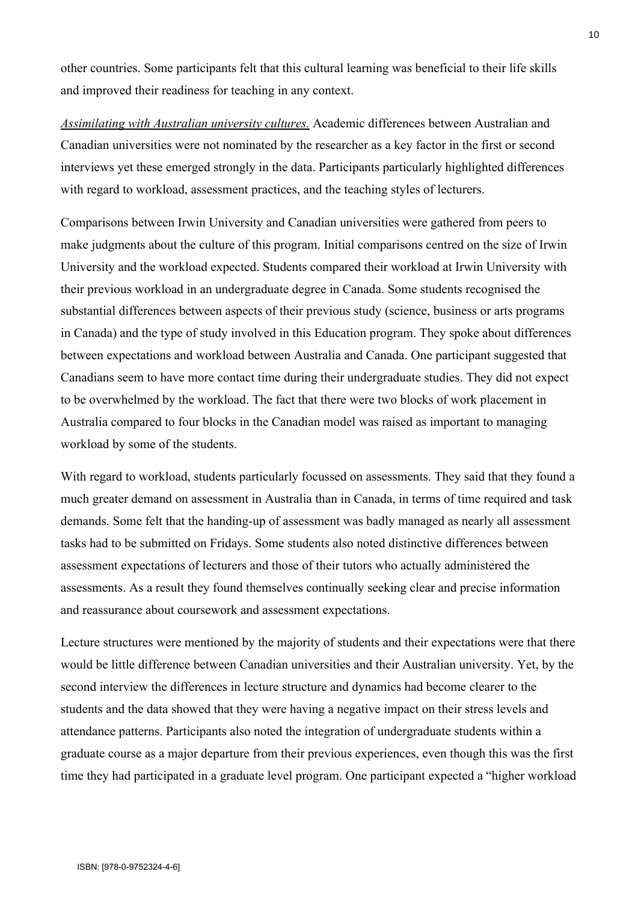other countries. Some participants felt that this cultural learning was beneficial to their life skills and improved their readiness for teaching in any context.

*Assimilating with Australian university cultures.* Academic differences between Australian and Canadian universities were not nominated by the researcher as a key factor in the first or second interviews yet these emerged strongly in the data. Participants particularly highlighted differences with regard to workload, assessment practices, and the teaching styles of lecturers.

Comparisons between Irwin University and Canadian universities were gathered from peers to make judgments about the culture of this program. Initial comparisons centred on the size of Irwin University and the workload expected. Students compared their workload at Irwin University with their previous workload in an undergraduate degree in Canada. Some students recognised the substantial differences between aspects of their previous study (science, business or arts programs in Canada) and the type of study involved in this Education program. They spoke about differences between expectations and workload between Australia and Canada. One participant suggested that Canadians seem to have more contact time during their undergraduate studies. They did not expect to be overwhelmed by the workload. The fact that there were two blocks of work placement in Australia compared to four blocks in the Canadian model was raised as important to managing workload by some of the students.

With regard to workload, students particularly focussed on assessments. They said that they found a much greater demand on assessment in Australia than in Canada, in terms of time required and task demands. Some felt that the handing-up of assessment was badly managed as nearly all assessment tasks had to be submitted on Fridays. Some students also noted distinctive differences between assessment expectations of lecturers and those of their tutors who actually administered the assessments. As a result they found themselves continually seeking clear and precise information and reassurance about coursework and assessment expectations.

Lecture structures were mentioned by the majority of students and their expectations were that there would be little difference between Canadian universities and their Australian university. Yet, by the second interview the differences in lecture structure and dynamics had become clearer to the students and the data showed that they were having a negative impact on their stress levels and attendance patterns. Participants also noted the integration of undergraduate students within a graduate course as a major departure from their previous experiences, even though this was the first time they had participated in a graduate level program. One participant expected a "higher workload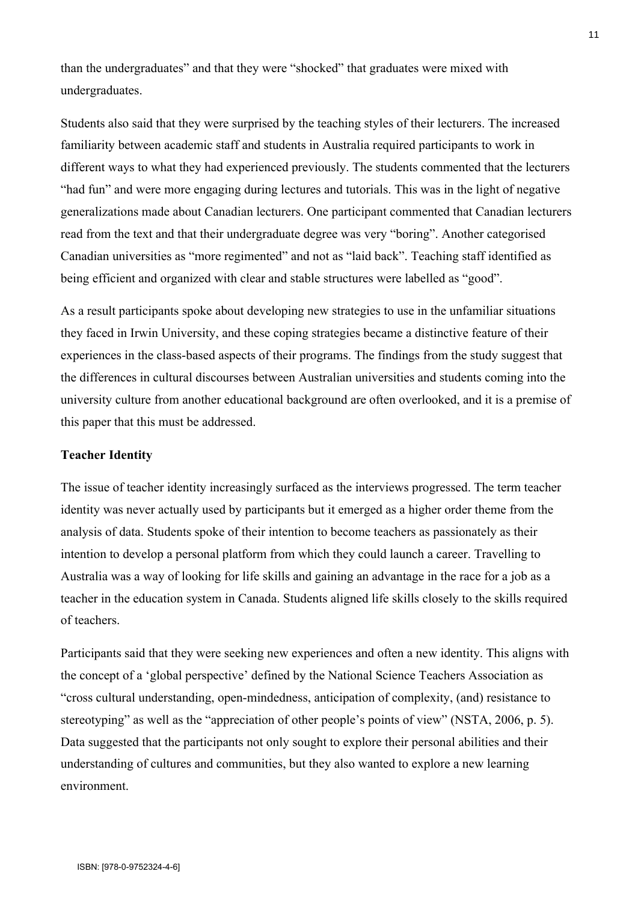than the undergraduates" and that they were "shocked" that graduates were mixed with undergraduates.

Students also said that they were surprised by the teaching styles of their lecturers. The increased familiarity between academic staff and students in Australia required participants to work in different ways to what they had experienced previously. The students commented that the lecturers "had fun" and were more engaging during lectures and tutorials. This was in the light of negative generalizations made about Canadian lecturers. One participant commented that Canadian lecturers read from the text and that their undergraduate degree was very "boring". Another categorised Canadian universities as "more regimented" and not as "laid back". Teaching staff identified as being efficient and organized with clear and stable structures were labelled as "good".

As a result participants spoke about developing new strategies to use in the unfamiliar situations they faced in Irwin University, and these coping strategies became a distinctive feature of their experiences in the class-based aspects of their programs. The findings from the study suggest that the differences in cultural discourses between Australian universities and students coming into the university culture from another educational background are often overlooked, and it is a premise of this paper that this must be addressed.

### **Teacher Identity**

The issue of teacher identity increasingly surfaced as the interviews progressed. The term teacher identity was never actually used by participants but it emerged as a higher order theme from the analysis of data. Students spoke of their intention to become teachers as passionately as their intention to develop a personal platform from which they could launch a career. Travelling to Australia was a way of looking for life skills and gaining an advantage in the race for a job as a teacher in the education system in Canada. Students aligned life skills closely to the skills required of teachers.

Participants said that they were seeking new experiences and often a new identity. This aligns with the concept of a 'global perspective' defined by the National Science Teachers Association as "cross cultural understanding, open-mindedness, anticipation of complexity, (and) resistance to stereotyping" as well as the "appreciation of other people's points of view" (NSTA, 2006, p. 5). Data suggested that the participants not only sought to explore their personal abilities and their understanding of cultures and communities, but they also wanted to explore a new learning environment.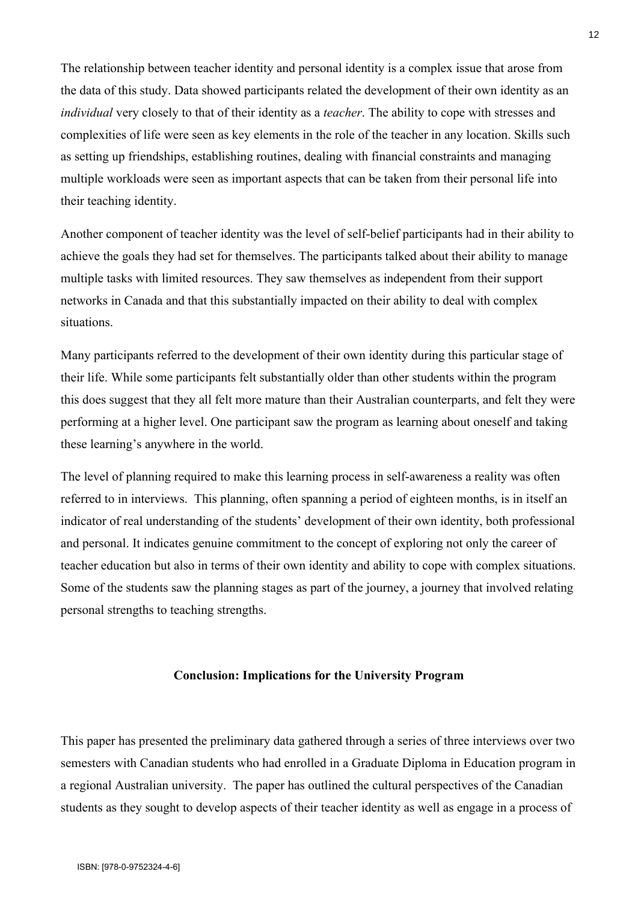The relationship between teacher identity and personal identity is a complex issue that arose from the data of this study. Data showed participants related the development of their own identity as an *individual* very closely to that of their identity as a *teacher*. The ability to cope with stresses and complexities of life were seen as key elements in the role of the teacher in any location. Skills such as setting up friendships, establishing routines, dealing with financial constraints and managing multiple workloads were seen as important aspects that can be taken from their personal life into their teaching identity.

Another component of teacher identity was the level of self-belief participants had in their ability to achieve the goals they had set for themselves. The participants talked about their ability to manage multiple tasks with limited resources. They saw themselves as independent from their support networks in Canada and that this substantially impacted on their ability to deal with complex situations.

Many participants referred to the development of their own identity during this particular stage of their life. While some participants felt substantially older than other students within the program this does suggest that they all felt more mature than their Australian counterparts, and felt they were performing at a higher level. One participant saw the program as learning about oneself and taking these learning's anywhere in the world.

The level of planning required to make this learning process in self-awareness a reality was often referred to in interviews. This planning, often spanning a period of eighteen months, is in itself an indicator of real understanding of the students' development of their own identity, both professional and personal. It indicates genuine commitment to the concept of exploring not only the career of teacher education but also in terms of their own identity and ability to cope with complex situations. Some of the students saw the planning stages as part of the journey, a journey that involved relating personal strengths to teaching strengths.

## **Conclusion: Implications for the University Program**

This paper has presented the preliminary data gathered through a series of three interviews over two semesters with Canadian students who had enrolled in a Graduate Diploma in Education program in a regional Australian university. The paper has outlined the cultural perspectives of the Canadian students as they sought to develop aspects of their teacher identity as well as engage in a process of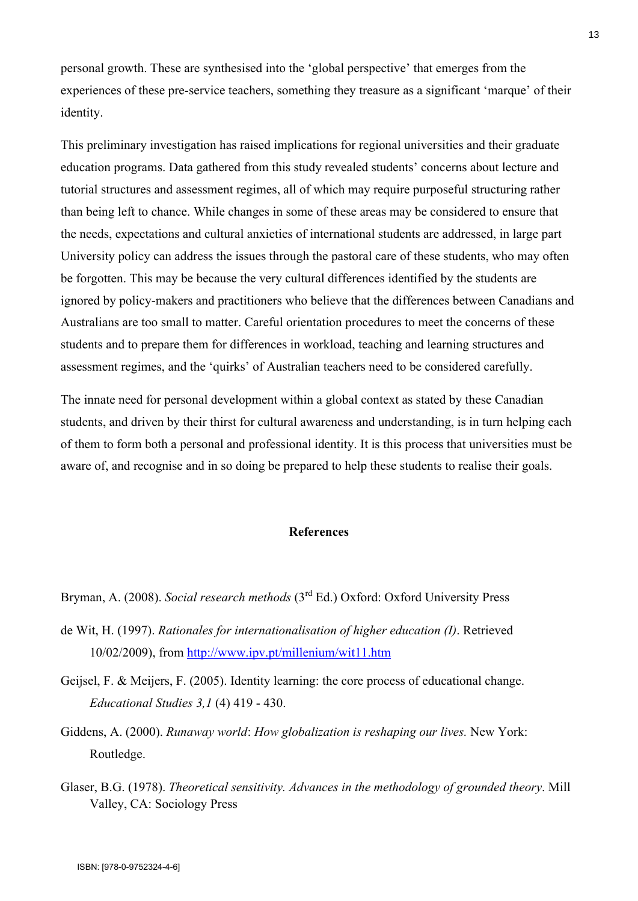personal growth. These are synthesised into the 'global perspective' that emerges from the experiences of these pre-service teachers, something they treasure as a significant 'marque' of their identity.

This preliminary investigation has raised implications for regional universities and their graduate education programs. Data gathered from this study revealed students' concerns about lecture and tutorial structures and assessment regimes, all of which may require purposeful structuring rather than being left to chance. While changes in some of these areas may be considered to ensure that the needs, expectations and cultural anxieties of international students are addressed, in large part University policy can address the issues through the pastoral care of these students, who may often be forgotten. This may be because the very cultural differences identified by the students are ignored by policy-makers and practitioners who believe that the differences between Canadians and Australians are too small to matter. Careful orientation procedures to meet the concerns of these students and to prepare them for differences in workload, teaching and learning structures and assessment regimes, and the 'quirks' of Australian teachers need to be considered carefully.

The innate need for personal development within a global context as stated by these Canadian students, and driven by their thirst for cultural awareness and understanding, is in turn helping each of them to form both a personal and professional identity. It is this process that universities must be aware of, and recognise and in so doing be prepared to help these students to realise their goals.

#### **References**

Bryman, A. (2008). *Social research methods* (3rd Ed.) Oxford: Oxford University Press

- de Wit, H. (1997). *Rationales for internationalisation of higher education (I)*. Retrieved 10/02/2009), from http://www.ipv.pt/millenium/wit11.htm
- Geijsel, F. & Meijers, F. (2005). Identity learning: the core process of educational change. *Educational Studies 3,1* (4) 419 - 430.
- Giddens, A. (2000). *Runaway world*: *How globalization is reshaping our lives.* New York: Routledge.
- Glaser, B.G. (1978). *Theoretical sensitivity. Advances in the methodology of grounded theory*. Mill Valley, CA: Sociology Press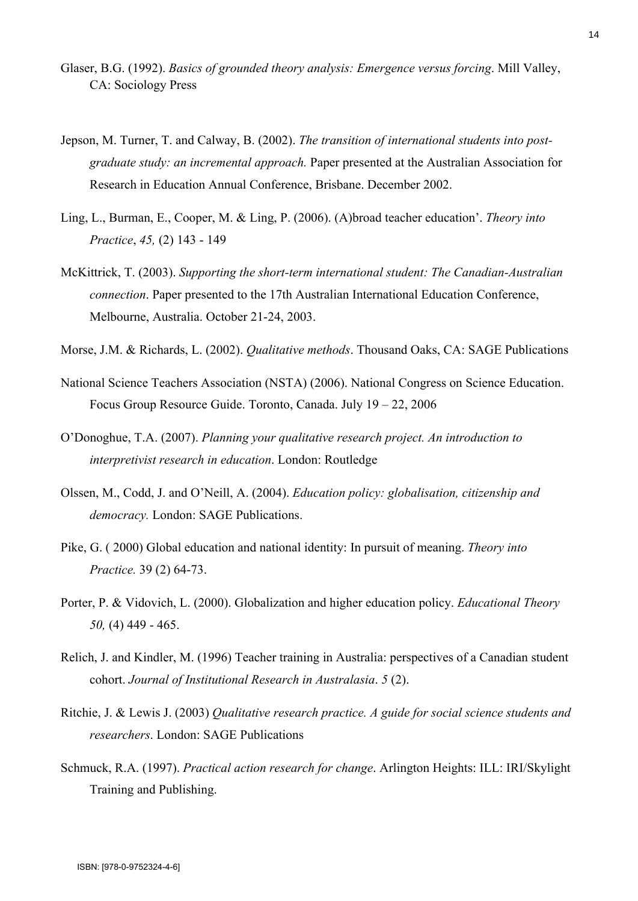- Glaser, B.G. (1992). *Basics of grounded theory analysis: Emergence versus forcing*. Mill Valley, CA: Sociology Press
- Jepson, M. Turner, T. and Calway, B. (2002). *The transition of international students into postgraduate study: an incremental approach.* Paper presented at the Australian Association for Research in Education Annual Conference, Brisbane. December 2002.
- Ling, L., Burman, E., Cooper, M. & Ling, P. (2006). (A)broad teacher education'. *Theory into Practice*, *45,* (2) 143 - 149
- McKittrick, T. (2003). *Supporting the short-term international student: The Canadian-Australian connection*. Paper presented to the 17th Australian International Education Conference, Melbourne, Australia. October 21-24, 2003.
- Morse, J.M. & Richards, L. (2002). *Qualitative methods*. Thousand Oaks, CA: SAGE Publications
- National Science Teachers Association (NSTA) (2006). National Congress on Science Education. Focus Group Resource Guide. Toronto, Canada. July 19 – 22, 2006
- O'Donoghue, T.A. (2007). *Planning your qualitative research project. An introduction to interpretivist research in education*. London: Routledge
- Olssen, M., Codd, J. and O'Neill, A. (2004). *Education policy: globalisation, citizenship and democracy.* London: SAGE Publications.
- Pike, G. ( 2000) Global education and national identity: In pursuit of meaning. *Theory into Practice.* 39 (2) 64-73.
- Porter, P. & Vidovich, L. (2000). Globalization and higher education policy. *Educational Theory 50,* (4) 449 - 465.
- Relich, J. and Kindler, M. (1996) Teacher training in Australia: perspectives of a Canadian student cohort. *Journal of Institutional Research in Australasia*. *5* (2).
- Ritchie, J. & Lewis J. (2003) *Qualitative research practice. A guide for social science students and researchers*. London: SAGE Publications
- Schmuck, R.A. (1997). *Practical action research for change*. Arlington Heights: ILL: IRI/Skylight Training and Publishing.